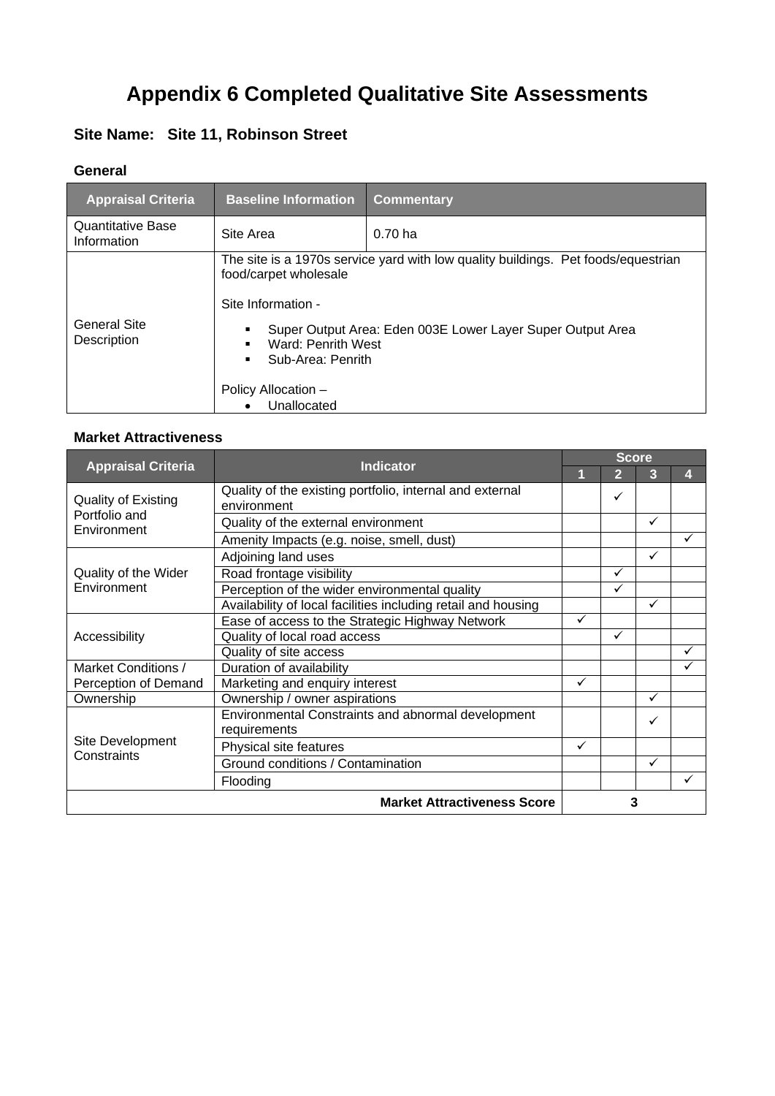# **Appendix 6 Completed Qualitative Site Assessments**

### **Site Name: Site 11, Robinson Street**

#### **General**

| <b>Appraisal Criteria</b>               | <b>Baseline Information</b>                                                                                                  | <b>Commentary</b>                                                                                                                               |
|-----------------------------------------|------------------------------------------------------------------------------------------------------------------------------|-------------------------------------------------------------------------------------------------------------------------------------------------|
| <b>Quantitative Base</b><br>Information | Site Area                                                                                                                    | 0.70 <sub>ha</sub>                                                                                                                              |
| General Site<br>Description             | food/carpet wholesale<br>Site Information -<br>Ward: Penrith West<br>Sub-Area: Penrith<br>Policy Allocation -<br>Unallocated | The site is a 1970s service yard with low quality buildings. Pet foods/equestrian<br>Super Output Area: Eden 003E Lower Layer Super Output Area |

|                                                            | <b>Indicator</b>                                                        | <b>Score</b> |                |   |   |  |
|------------------------------------------------------------|-------------------------------------------------------------------------|--------------|----------------|---|---|--|
| <b>Appraisal Criteria</b>                                  |                                                                         | 1            | $\overline{2}$ | 3 | 4 |  |
| <b>Quality of Existing</b><br>Portfolio and<br>Environment | Quality of the existing portfolio, internal and external<br>environment |              | ✓              |   |   |  |
|                                                            | Quality of the external environment                                     |              |                | ✓ |   |  |
|                                                            | Amenity Impacts (e.g. noise, smell, dust)                               |              |                |   | ✓ |  |
|                                                            | Adjoining land uses                                                     |              |                | ✓ |   |  |
| Quality of the Wider                                       | Road frontage visibility                                                |              | ✓              |   |   |  |
| Environment                                                | Perception of the wider environmental quality                           |              | ✓              |   |   |  |
|                                                            | Availability of local facilities including retail and housing           |              |                | ✓ |   |  |
|                                                            | Ease of access to the Strategic Highway Network                         | $\checkmark$ |                |   |   |  |
| Accessibility                                              | Quality of local road access                                            |              | ✓              |   |   |  |
|                                                            | Quality of site access                                                  |              |                |   |   |  |
| Market Conditions /                                        | Duration of availability                                                |              |                |   |   |  |
| Perception of Demand                                       | Marketing and enquiry interest                                          | ✓            |                |   |   |  |
| Ownership                                                  | Ownership / owner aspirations                                           |              |                | ✓ |   |  |
| Site Development<br>Constraints                            | Environmental Constraints and abnormal development<br>requirements      |              |                | ✓ |   |  |
|                                                            | Physical site features                                                  | ✓            |                |   |   |  |
|                                                            | Ground conditions / Contamination                                       |              |                | ✓ |   |  |
|                                                            | Flooding                                                                |              |                |   | ✓ |  |
|                                                            | <b>Market Attractiveness Score</b>                                      |              | 3              |   |   |  |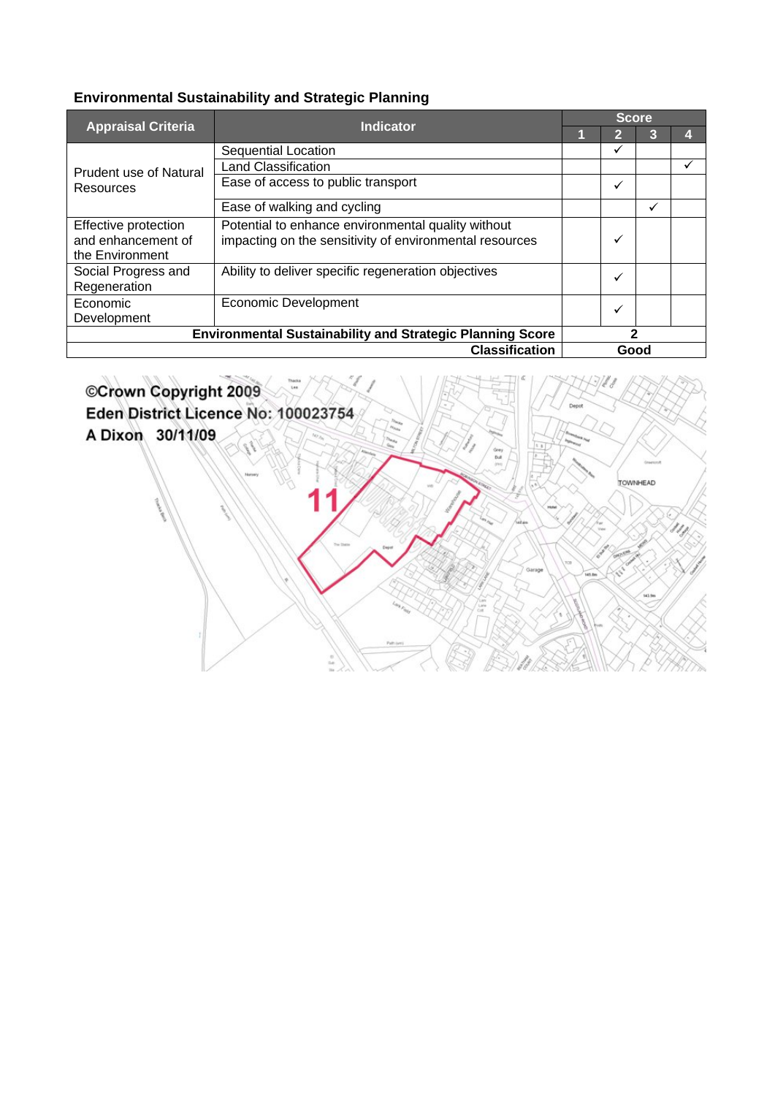|                           | <b>Indicator</b>                                                 | <b>Score</b> |      |              |  |  |
|---------------------------|------------------------------------------------------------------|--------------|------|--------------|--|--|
| <b>Appraisal Criteria</b> |                                                                  |              | 12   | 3            |  |  |
|                           | Sequential Location                                              |              | ✓    |              |  |  |
| Prudent use of Natural    | <b>Land Classification</b>                                       |              |      |              |  |  |
| Resources                 | Ease of access to public transport                               |              | ✓    |              |  |  |
|                           | Ease of walking and cycling                                      |              |      | $\checkmark$ |  |  |
| Effective protection      | Potential to enhance environmental quality without               |              |      |              |  |  |
| and enhancement of        | impacting on the sensitivity of environmental resources          |              | ✓    |              |  |  |
| the Environment           |                                                                  |              |      |              |  |  |
| Social Progress and       | Ability to deliver specific regeneration objectives              |              | ✓    |              |  |  |
| Regeneration              |                                                                  |              |      |              |  |  |
| Economic                  | <b>Economic Development</b>                                      |              | ✓    |              |  |  |
| Development               |                                                                  |              |      |              |  |  |
|                           | <b>Environmental Sustainability and Strategic Planning Score</b> | 2            |      |              |  |  |
|                           | <b>Classification</b>                                            |              | Good |              |  |  |

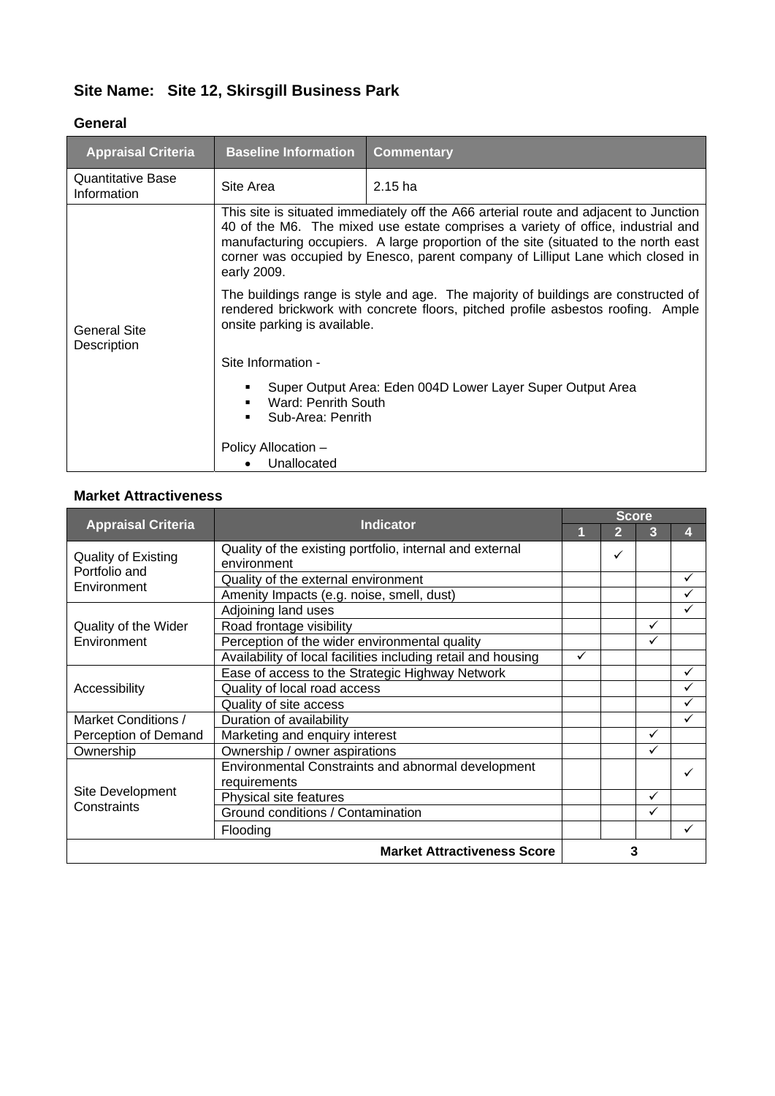# **Site Name: Site 12, Skirsgill Business Park**

#### **General**

| <b>Appraisal Criteria</b>        | <b>Baseline Information</b>                                                                                                                                                                                                                                                                                                                                       | <b>Commentary</b> |  |  |  |
|----------------------------------|-------------------------------------------------------------------------------------------------------------------------------------------------------------------------------------------------------------------------------------------------------------------------------------------------------------------------------------------------------------------|-------------------|--|--|--|
| Quantitative Base<br>Information | Site Area                                                                                                                                                                                                                                                                                                                                                         | $2.15$ ha         |  |  |  |
| General Site<br>Description      | This site is situated immediately off the A66 arterial route and adjacent to Junction<br>40 of the M6. The mixed use estate comprises a variety of office, industrial and<br>manufacturing occupiers. A large proportion of the site (situated to the north east<br>corner was occupied by Enesco, parent company of Lilliput Lane which closed in<br>early 2009. |                   |  |  |  |
|                                  | The buildings range is style and age. The majority of buildings are constructed of<br>rendered brickwork with concrete floors, pitched profile asbestos roofing. Ample<br>onsite parking is available.                                                                                                                                                            |                   |  |  |  |
|                                  | Site Information -                                                                                                                                                                                                                                                                                                                                                |                   |  |  |  |
|                                  | Super Output Area: Eden 004D Lower Layer Super Output Area<br>Ward: Penrith South<br>Sub-Area: Penrith                                                                                                                                                                                                                                                            |                   |  |  |  |
|                                  | Policy Allocation -<br>Unallocated                                                                                                                                                                                                                                                                                                                                |                   |  |  |  |

|                                                            |                                                                         | <b>Score</b> |   |   |   |  |
|------------------------------------------------------------|-------------------------------------------------------------------------|--------------|---|---|---|--|
| <b>Appraisal Criteria</b><br><b>Indicator</b>              |                                                                         | 1            | 2 | 3 | 4 |  |
| <b>Quality of Existing</b><br>Portfolio and<br>Environment | Quality of the existing portfolio, internal and external<br>environment |              | ✓ |   |   |  |
|                                                            | Quality of the external environment                                     |              |   |   | ✓ |  |
|                                                            | Amenity Impacts (e.g. noise, smell, dust)                               |              |   |   | ✓ |  |
|                                                            | Adjoining land uses                                                     |              |   |   | ✓ |  |
| Quality of the Wider                                       | Road frontage visibility                                                |              |   | ✓ |   |  |
| Environment                                                | Perception of the wider environmental quality                           |              |   | ✓ |   |  |
|                                                            | Availability of local facilities including retail and housing           | ✓            |   |   |   |  |
|                                                            | Ease of access to the Strategic Highway Network                         |              |   |   | ✓ |  |
| Accessibility                                              | Quality of local road access                                            |              |   |   |   |  |
|                                                            | Quality of site access                                                  |              |   |   |   |  |
| Market Conditions /                                        | Duration of availability                                                |              |   |   | ✓ |  |
| Perception of Demand                                       | Marketing and enquiry interest                                          |              |   | ✓ |   |  |
| Ownership                                                  | Ownership / owner aspirations                                           |              |   | ✓ |   |  |
|                                                            | Environmental Constraints and abnormal development                      |              |   |   |   |  |
|                                                            | requirements                                                            |              |   |   |   |  |
| Site Development                                           | Physical site features                                                  |              |   | ✓ |   |  |
| Constraints                                                | Ground conditions / Contamination                                       |              |   | ✓ |   |  |
|                                                            | Flooding                                                                |              |   |   | ✓ |  |
|                                                            | <b>Market Attractiveness Score</b>                                      | 3            |   |   |   |  |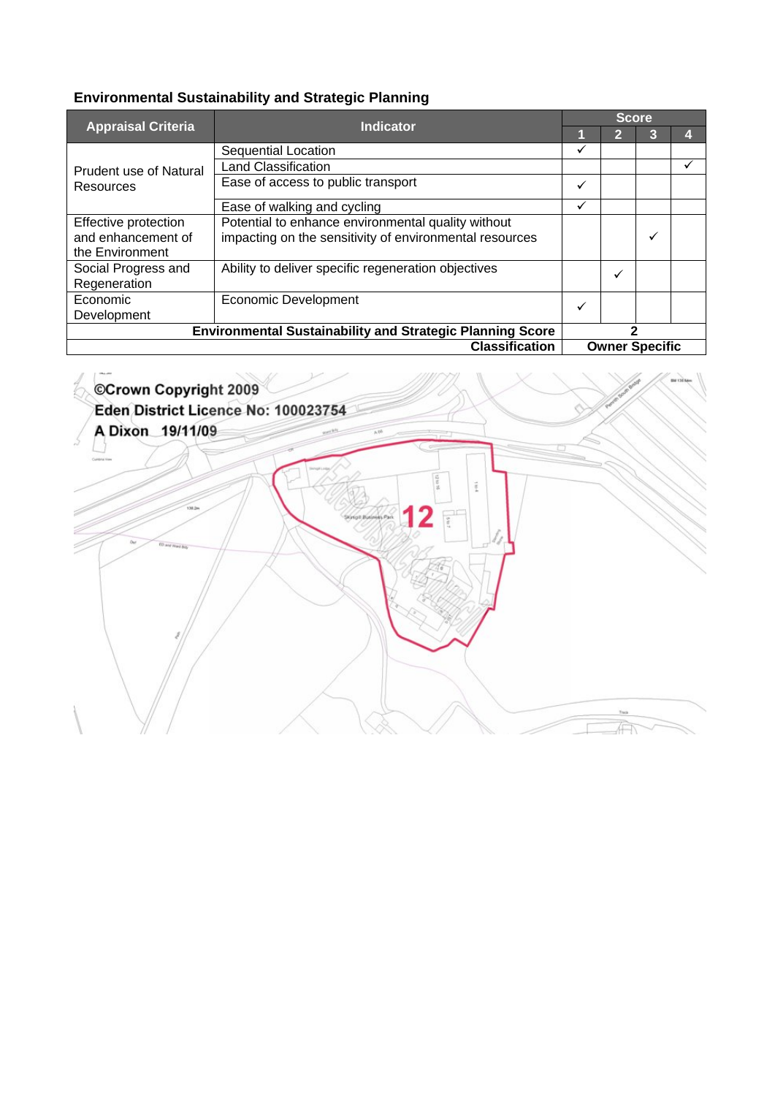|                                                                  | <b>Indicator</b>                                                                                              | <b>Score</b> |    |                       |   |  |  |
|------------------------------------------------------------------|---------------------------------------------------------------------------------------------------------------|--------------|----|-----------------------|---|--|--|
| <b>Appraisal Criteria</b>                                        |                                                                                                               |              | 12 | 3                     |   |  |  |
|                                                                  | <b>Sequential Location</b>                                                                                    | ✓            |    |                       |   |  |  |
| <b>Prudent use of Natural</b>                                    | <b>Land Classification</b>                                                                                    |              |    |                       | v |  |  |
| Resources                                                        | Ease of access to public transport                                                                            | ✓            |    |                       |   |  |  |
|                                                                  | Ease of walking and cycling                                                                                   | ✓            |    |                       |   |  |  |
| Effective protection<br>and enhancement of<br>the Environment    | Potential to enhance environmental quality without<br>impacting on the sensitivity of environmental resources |              |    | ✓                     |   |  |  |
| Social Progress and<br>Regeneration                              | Ability to deliver specific regeneration objectives                                                           |              | ✓  |                       |   |  |  |
| Economic<br>Development                                          | <b>Economic Development</b>                                                                                   | ✓            |    |                       |   |  |  |
| <b>Environmental Sustainability and Strategic Planning Score</b> |                                                                                                               | 2            |    |                       |   |  |  |
| <b>Classification</b>                                            |                                                                                                               |              |    | <b>Owner Specific</b> |   |  |  |

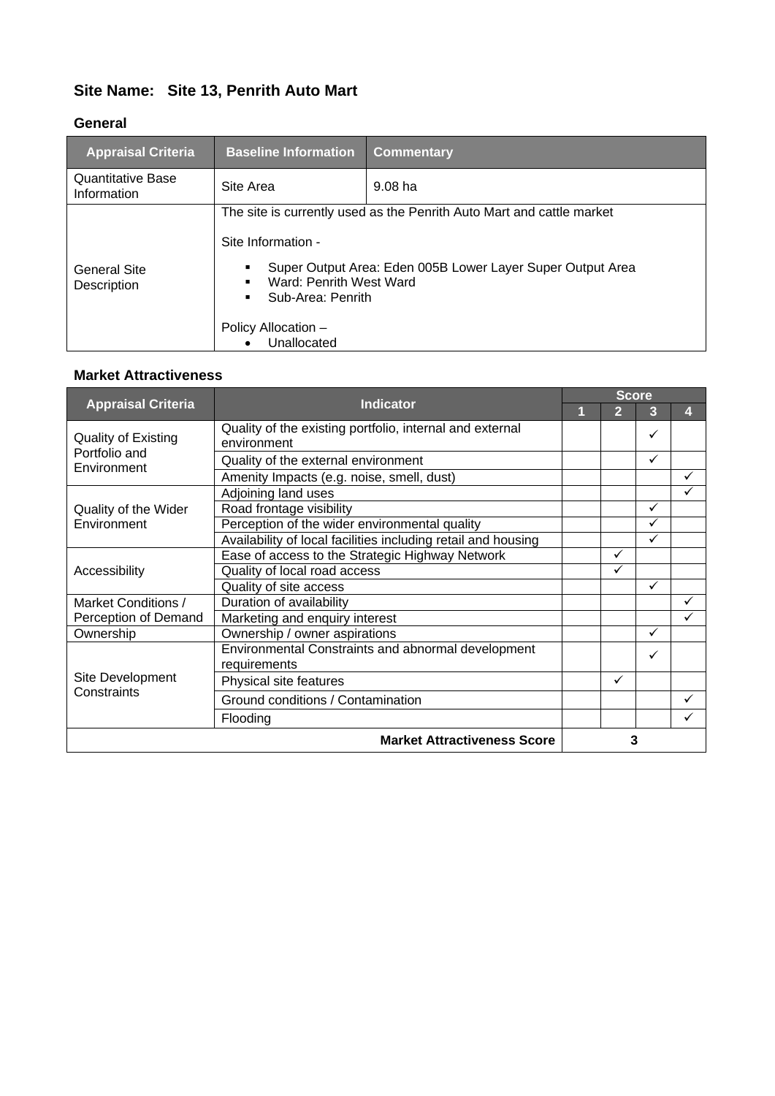#### **Site Name: Site 13, Penrith Auto Mart**

#### **General**

| <b>Appraisal Criteria</b>               | <b>Baseline Information</b>                                                                              | <b>Commentary</b>                                                                                                                   |
|-----------------------------------------|----------------------------------------------------------------------------------------------------------|-------------------------------------------------------------------------------------------------------------------------------------|
| <b>Quantitative Base</b><br>Information | Site Area                                                                                                | $9.08$ ha                                                                                                                           |
| <b>General Site</b><br>Description      | Site Information -<br>Ward: Penrith West Ward<br>Sub-Area: Penrith<br>Policy Allocation -<br>Unallocated | The site is currently used as the Penrith Auto Mart and cattle market<br>Super Output Area: Eden 005B Lower Layer Super Output Area |

| <b>Appraisal Criteria</b>                                  | <b>Indicator</b>                                                        | <b>Score</b> |              |   |   |  |
|------------------------------------------------------------|-------------------------------------------------------------------------|--------------|--------------|---|---|--|
|                                                            |                                                                         | 1            | 2            | 3 | Д |  |
| <b>Quality of Existing</b><br>Portfolio and<br>Environment | Quality of the existing portfolio, internal and external<br>environment |              |              | ✓ |   |  |
|                                                            | Quality of the external environment                                     |              |              | ✓ |   |  |
|                                                            | Amenity Impacts (e.g. noise, smell, dust)                               |              |              |   | ✓ |  |
|                                                            | Adjoining land uses                                                     |              |              |   | ✓ |  |
| Quality of the Wider                                       | Road frontage visibility                                                |              |              | ✓ |   |  |
| Environment                                                | Perception of the wider environmental quality                           |              |              | ✓ |   |  |
|                                                            | Availability of local facilities including retail and housing           |              |              | ✓ |   |  |
|                                                            | Ease of access to the Strategic Highway Network                         |              | ✓            |   |   |  |
| Accessibility                                              | Quality of local road access                                            |              | $\checkmark$ |   |   |  |
|                                                            | Quality of site access                                                  |              |              | ✓ |   |  |
| Market Conditions /                                        | Duration of availability                                                |              |              |   |   |  |
| Perception of Demand                                       | Marketing and enquiry interest                                          |              |              |   |   |  |
| Ownership                                                  | Ownership / owner aspirations                                           |              |              | ✓ |   |  |
|                                                            | Environmental Constraints and abnormal development<br>requirements      |              |              | ✓ |   |  |
| Site Development                                           | Physical site features                                                  |              | ✓            |   |   |  |
| Constraints                                                | Ground conditions / Contamination                                       |              |              |   |   |  |
|                                                            | Flooding                                                                |              |              |   |   |  |
|                                                            | <b>Market Attractiveness Score</b>                                      |              | 3            |   |   |  |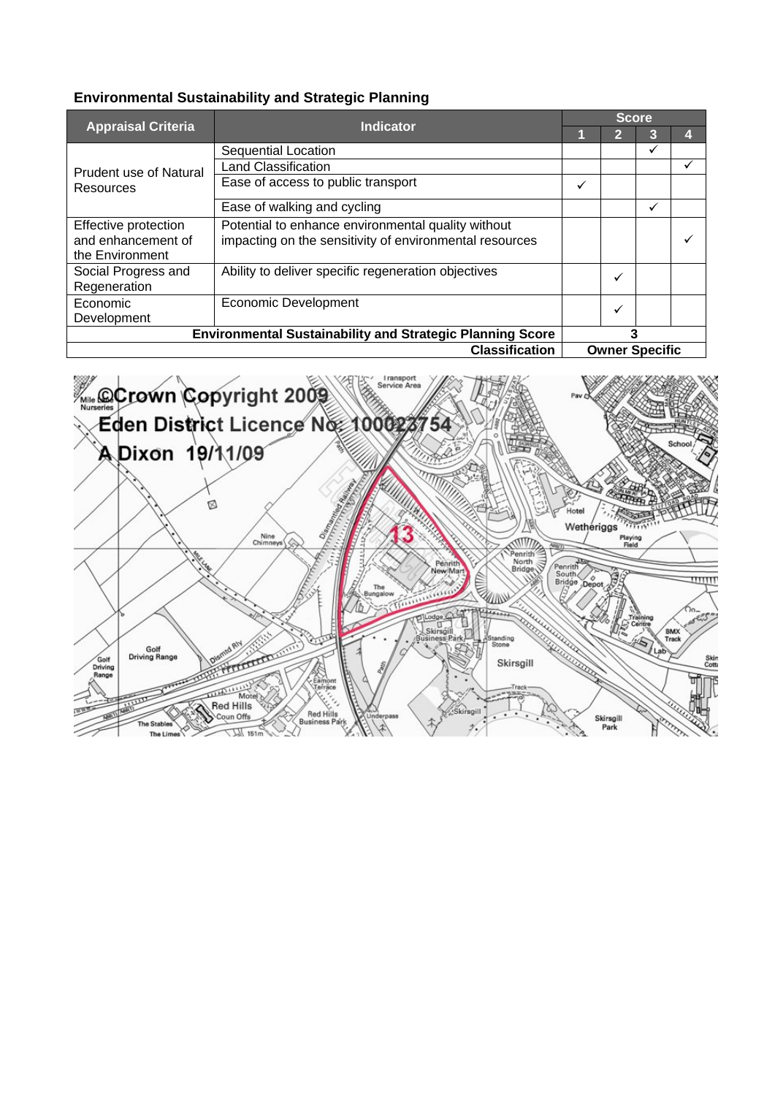|                           | <b>Indicator</b>                                                 | <b>Score</b> |                       |   |  |  |  |
|---------------------------|------------------------------------------------------------------|--------------|-----------------------|---|--|--|--|
| <b>Appraisal Criteria</b> |                                                                  |              | 2                     | 3 |  |  |  |
|                           | Sequential Location                                              |              |                       | ✓ |  |  |  |
| Prudent use of Natural    | <b>Land Classification</b>                                       |              |                       |   |  |  |  |
| Resources                 | Ease of access to public transport                               | ✓            |                       |   |  |  |  |
|                           | Ease of walking and cycling                                      |              |                       | ✓ |  |  |  |
| Effective protection      | Potential to enhance environmental quality without               |              |                       |   |  |  |  |
| and enhancement of        | impacting on the sensitivity of environmental resources          |              |                       |   |  |  |  |
| the Environment           |                                                                  |              |                       |   |  |  |  |
| Social Progress and       | Ability to deliver specific regeneration objectives              |              | ✓                     |   |  |  |  |
| Regeneration              |                                                                  |              |                       |   |  |  |  |
| Economic                  | <b>Economic Development</b>                                      |              | $\checkmark$          |   |  |  |  |
| Development               |                                                                  |              |                       |   |  |  |  |
|                           | <b>Environmental Sustainability and Strategic Planning Score</b> | 3            |                       |   |  |  |  |
|                           | <b>Classification</b>                                            |              | <b>Owner Specific</b> |   |  |  |  |

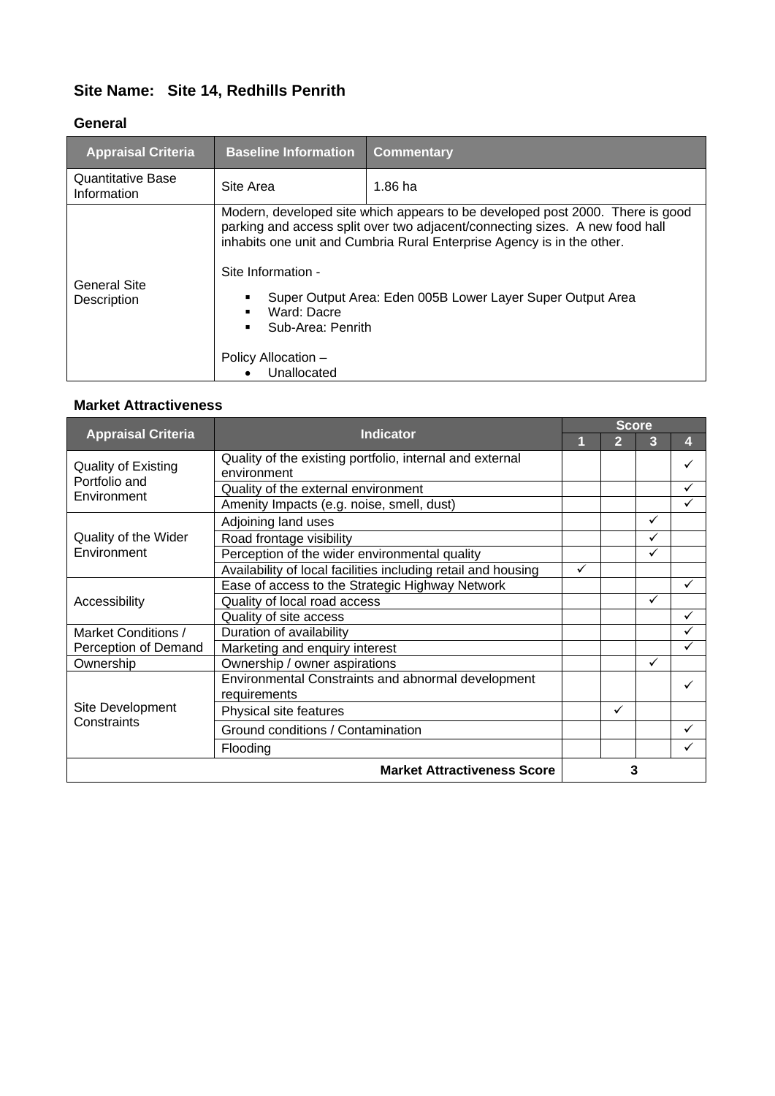### **Site Name: Site 14, Redhills Penrith**

#### **General**

| <b>Appraisal Criteria</b>               | <b>Baseline Information</b>                                                                  | <b>Commentary</b>                                                                                                                                                                                                                                                                                     |
|-----------------------------------------|----------------------------------------------------------------------------------------------|-------------------------------------------------------------------------------------------------------------------------------------------------------------------------------------------------------------------------------------------------------------------------------------------------------|
| <b>Quantitative Base</b><br>Information | Site Area                                                                                    | $1.86$ ha                                                                                                                                                                                                                                                                                             |
| General Site<br>Description             | Site Information -<br>Ward: Dacre<br>Sub-Area: Penrith<br>Policy Allocation -<br>Unallocated | Modern, developed site which appears to be developed post 2000. There is good<br>parking and access split over two adjacent/connecting sizes. A new food hall<br>inhabits one unit and Cumbria Rural Enterprise Agency is in the other.<br>Super Output Area: Eden 005B Lower Layer Super Output Area |

| <b>Appraisal Criteria</b>                           | <b>Indicator</b>                                                        | <b>Score</b> |                |              |   |  |
|-----------------------------------------------------|-------------------------------------------------------------------------|--------------|----------------|--------------|---|--|
|                                                     |                                                                         |              | $\overline{2}$ | 3            | 4 |  |
| Quality of Existing<br>Portfolio and<br>Environment | Quality of the existing portfolio, internal and external<br>environment |              |                |              | ✓ |  |
|                                                     | Quality of the external environment                                     |              |                |              | ✓ |  |
|                                                     | Amenity Impacts (e.g. noise, smell, dust)                               |              |                |              | ✓ |  |
|                                                     | Adjoining land uses                                                     |              |                | ✓            |   |  |
| Quality of the Wider                                | Road frontage visibility                                                |              |                | ✓            |   |  |
| Environment                                         | Perception of the wider environmental quality                           |              |                | ✓            |   |  |
|                                                     | Availability of local facilities including retail and housing           | ✓            |                |              |   |  |
|                                                     | Ease of access to the Strategic Highway Network                         |              |                |              | ✓ |  |
| Accessibility                                       | Quality of local road access                                            |              |                | $\checkmark$ |   |  |
|                                                     | Quality of site access                                                  |              |                |              | ✓ |  |
| Market Conditions /                                 | Duration of availability                                                |              |                |              | ✓ |  |
| Perception of Demand                                | Marketing and enquiry interest                                          |              |                |              | ✓ |  |
| Ownership                                           | Ownership / owner aspirations                                           |              |                | $\checkmark$ |   |  |
|                                                     | Environmental Constraints and abnormal development<br>requirements      |              |                |              | ✓ |  |
| Site Development                                    | Physical site features                                                  |              | ✓              |              |   |  |
| Constraints                                         | Ground conditions / Contamination                                       |              |                |              | ✓ |  |
|                                                     | Flooding                                                                |              |                |              | ✓ |  |
|                                                     | <b>Market Attractiveness Score</b>                                      | 3            |                |              |   |  |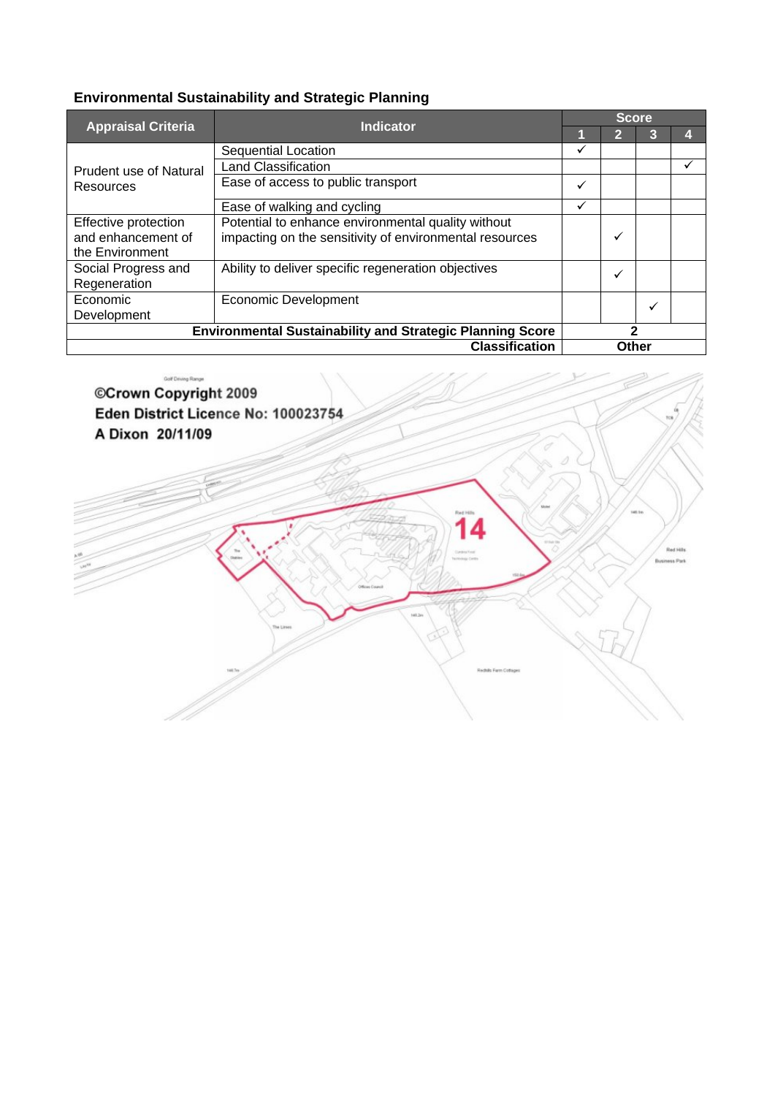|                                                               | <b>Indicator</b>                                                                                              | <b>Score</b> |       |   |  |  |  |
|---------------------------------------------------------------|---------------------------------------------------------------------------------------------------------------|--------------|-------|---|--|--|--|
| <b>Appraisal Criteria</b>                                     |                                                                                                               |              | 2     | 3 |  |  |  |
|                                                               | Sequential Location                                                                                           | ✓            |       |   |  |  |  |
| <b>Prudent use of Natural</b>                                 | <b>Land Classification</b>                                                                                    |              |       |   |  |  |  |
| Resources                                                     | Ease of access to public transport                                                                            | ✓            |       |   |  |  |  |
|                                                               | Ease of walking and cycling                                                                                   | ✓            |       |   |  |  |  |
| Effective protection<br>and enhancement of<br>the Environment | Potential to enhance environmental quality without<br>impacting on the sensitivity of environmental resources |              | ✓     |   |  |  |  |
| Social Progress and<br>Regeneration                           | Ability to deliver specific regeneration objectives                                                           |              | ✓     |   |  |  |  |
| Economic<br>Development                                       | <b>Economic Development</b>                                                                                   |              |       | ✓ |  |  |  |
|                                                               | <b>Environmental Sustainability and Strategic Planning Score</b>                                              | 2            |       |   |  |  |  |
|                                                               | <b>Classification</b>                                                                                         |              | Other |   |  |  |  |

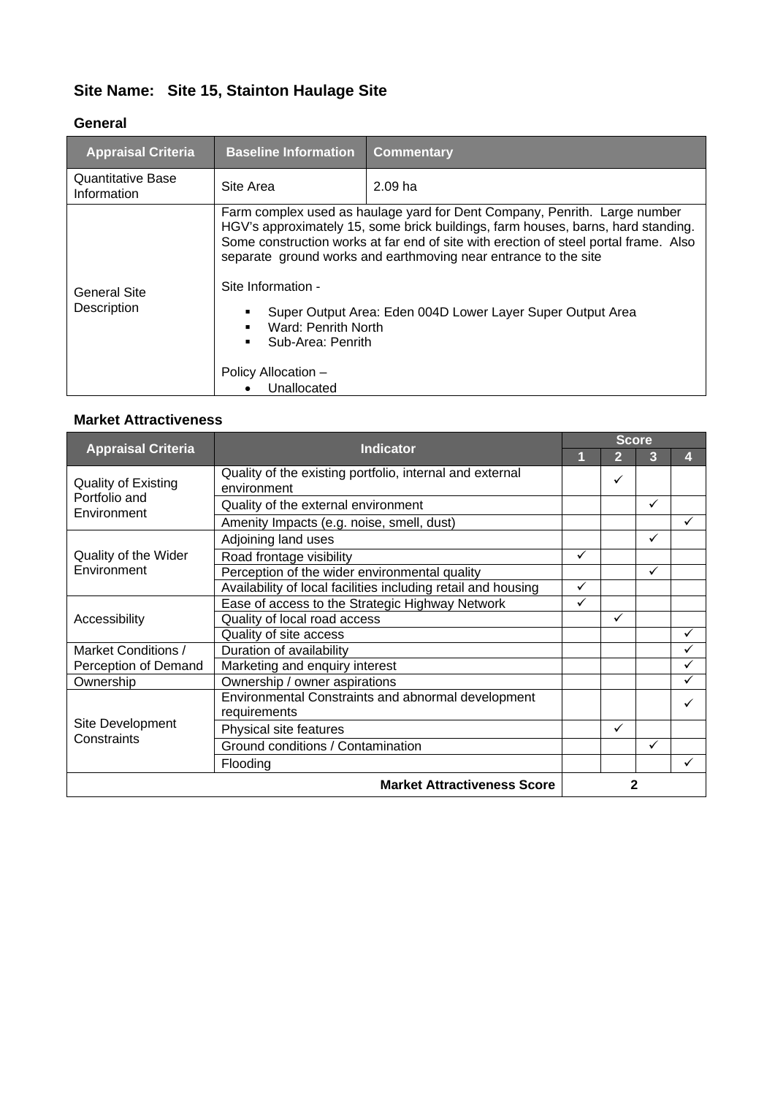### **Site Name: Site 15, Stainton Haulage Site**

#### **General**

| <b>Appraisal Criteria</b>        | <b>Baseline Information</b>                                                                          | <b>Commentary</b>                                                                                                                                                                                                                                                                                                                                                                      |
|----------------------------------|------------------------------------------------------------------------------------------------------|----------------------------------------------------------------------------------------------------------------------------------------------------------------------------------------------------------------------------------------------------------------------------------------------------------------------------------------------------------------------------------------|
| Quantitative Base<br>Information | Site Area                                                                                            | 2.09 <sub>ha</sub>                                                                                                                                                                                                                                                                                                                                                                     |
| General Site<br>Description      | Site Information -<br>Ward: Penrith North<br>Sub-Area: Penrith<br>Policy Allocation -<br>Unallocated | Farm complex used as haulage yard for Dent Company, Penrith. Large number<br>HGV's approximately 15, some brick buildings, farm houses, barns, hard standing.<br>Some construction works at far end of site with erection of steel portal frame. Also<br>separate ground works and earthmoving near entrance to the site<br>Super Output Area: Eden 004D Lower Layer Super Output Area |

| <b>Appraisal Criteria</b>                                  | <b>Indicator</b>                                                        | <b>Score</b> |   |   |    |  |
|------------------------------------------------------------|-------------------------------------------------------------------------|--------------|---|---|----|--|
|                                                            |                                                                         |              | 2 | 3 | 41 |  |
| <b>Quality of Existing</b><br>Portfolio and<br>Environment | Quality of the existing portfolio, internal and external<br>environment |              | ✓ |   |    |  |
|                                                            | Quality of the external environment                                     |              |   | ✓ |    |  |
|                                                            | Amenity Impacts (e.g. noise, smell, dust)                               |              |   |   | ✓  |  |
|                                                            | Adjoining land uses                                                     |              |   | ✓ |    |  |
| Quality of the Wider                                       | Road frontage visibility                                                | ✓            |   |   |    |  |
| Environment                                                | Perception of the wider environmental quality                           |              |   | ✓ |    |  |
|                                                            | Availability of local facilities including retail and housing           | ✓            |   |   |    |  |
|                                                            | Ease of access to the Strategic Highway Network                         | ✓            |   |   |    |  |
| Accessibility                                              | Quality of local road access                                            |              | ✓ |   |    |  |
|                                                            | Quality of site access                                                  |              |   |   | ✓  |  |
| Market Conditions /                                        | Duration of availability                                                |              |   |   | ✓  |  |
| Perception of Demand                                       | Marketing and enquiry interest                                          |              |   |   |    |  |
| Ownership                                                  | Ownership / owner aspirations                                           |              |   |   |    |  |
| Site Development<br>Constraints                            | Environmental Constraints and abnormal development<br>requirements      |              |   |   |    |  |
|                                                            | Physical site features                                                  |              | ✓ |   |    |  |
|                                                            | Ground conditions / Contamination                                       |              |   | ✓ |    |  |
|                                                            | Flooding                                                                |              |   |   |    |  |
| <b>Market Attractiveness Score</b>                         |                                                                         |              | 2 |   |    |  |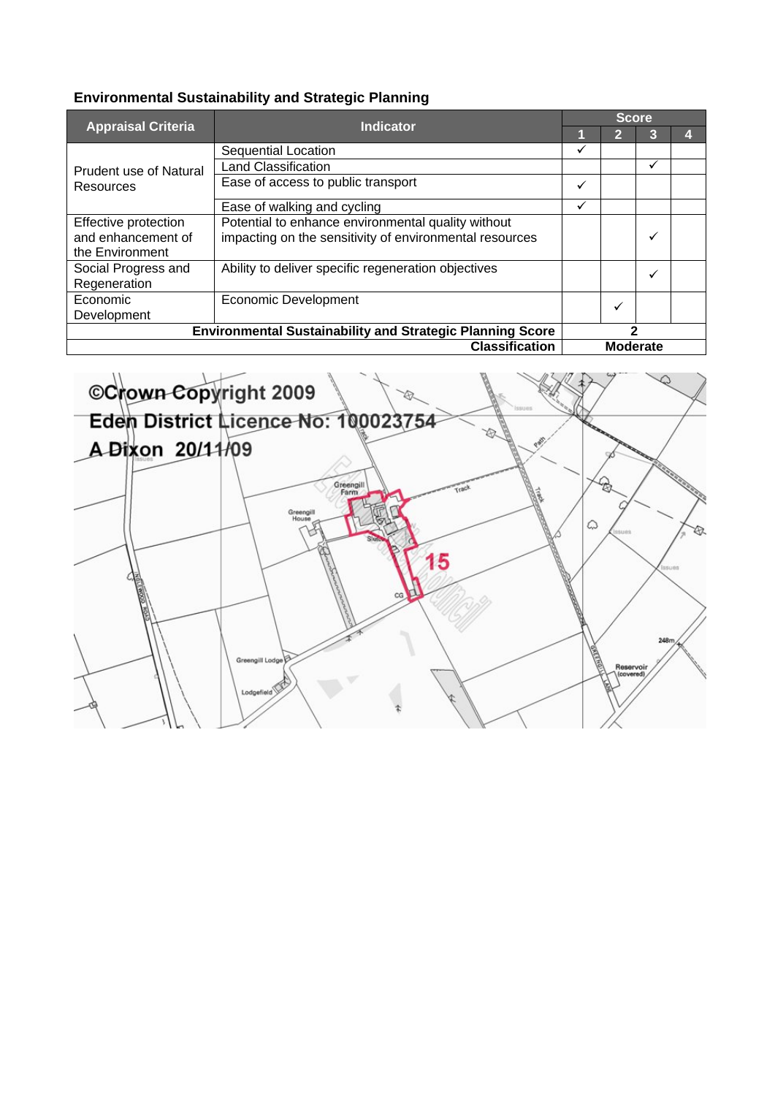| <b>Appraisal Criteria</b>                                        | <b>Indicator</b>                                        | <b>Score</b> |                 |              |  |  |  |
|------------------------------------------------------------------|---------------------------------------------------------|--------------|-----------------|--------------|--|--|--|
|                                                                  |                                                         |              | 2               | 3            |  |  |  |
|                                                                  | Sequential Location                                     | ✓            |                 |              |  |  |  |
| Prudent use of Natural                                           | <b>Land Classification</b>                              |              |                 | $\checkmark$ |  |  |  |
| Resources                                                        | Ease of access to public transport                      | $\checkmark$ |                 |              |  |  |  |
|                                                                  | Ease of walking and cycling                             | ✓            |                 |              |  |  |  |
| Effective protection                                             | Potential to enhance environmental quality without      |              |                 |              |  |  |  |
| and enhancement of                                               | impacting on the sensitivity of environmental resources |              |                 | ✓            |  |  |  |
| the Environment                                                  |                                                         |              |                 |              |  |  |  |
| Social Progress and                                              | Ability to deliver specific regeneration objectives     |              |                 | ✓            |  |  |  |
| Regeneration                                                     |                                                         |              |                 |              |  |  |  |
| Economic                                                         | <b>Economic Development</b>                             |              | $\checkmark$    |              |  |  |  |
| Development                                                      |                                                         |              |                 |              |  |  |  |
| <b>Environmental Sustainability and Strategic Planning Score</b> |                                                         | 2            |                 |              |  |  |  |
| <b>Classification</b>                                            |                                                         |              | <b>Moderate</b> |              |  |  |  |

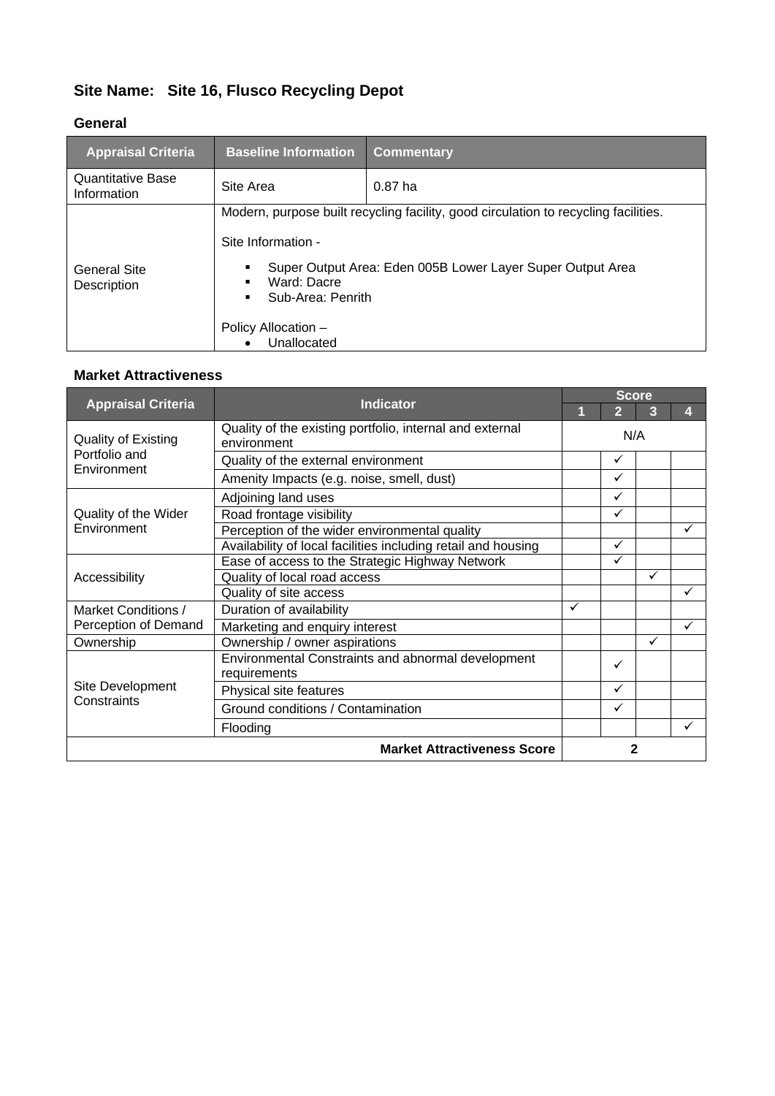# **Site Name: Site 16, Flusco Recycling Depot**

#### **General**

| <b>Appraisal Criteria</b>               | <b>Baseline Information</b>                                                   | <b>Commentary</b>                                                                                                                                 |
|-----------------------------------------|-------------------------------------------------------------------------------|---------------------------------------------------------------------------------------------------------------------------------------------------|
| <b>Quantitative Base</b><br>Information | Site Area                                                                     | $0.87$ ha                                                                                                                                         |
| <b>General Site</b><br>Description      | Site Information -<br>Ward: Dacre<br>Sub-Area: Penrith<br>Policy Allocation - | Modern, purpose built recycling facility, good circulation to recycling facilities.<br>Super Output Area: Eden 005B Lower Layer Super Output Area |
|                                         | Unallocated                                                                   |                                                                                                                                                   |

| <b>Appraisal Criteria</b>                                  | <b>Indicator</b>                                                        | <b>Score</b> |              |              |    |  |  |
|------------------------------------------------------------|-------------------------------------------------------------------------|--------------|--------------|--------------|----|--|--|
|                                                            |                                                                         |              | 2            | 3            | 41 |  |  |
| <b>Quality of Existing</b><br>Portfolio and<br>Environment | Quality of the existing portfolio, internal and external<br>environment | N/A          |              |              |    |  |  |
|                                                            | Quality of the external environment                                     |              | $\checkmark$ |              |    |  |  |
|                                                            | Amenity Impacts (e.g. noise, smell, dust)                               |              | $\checkmark$ |              |    |  |  |
|                                                            | Adjoining land uses                                                     |              | ✓            |              |    |  |  |
| Quality of the Wider                                       | Road frontage visibility                                                |              | $\checkmark$ |              |    |  |  |
| Environment                                                | Perception of the wider environmental quality                           |              |              |              | ✓  |  |  |
|                                                            | Availability of local facilities including retail and housing           |              | $\checkmark$ |              |    |  |  |
|                                                            | Ease of access to the Strategic Highway Network                         |              | $\checkmark$ |              |    |  |  |
| Accessibility                                              | Quality of local road access                                            |              |              | $\checkmark$ |    |  |  |
|                                                            | Quality of site access                                                  |              |              |              | ✓  |  |  |
| Market Conditions /                                        | Duration of availability                                                | ✓            |              |              |    |  |  |
| Perception of Demand                                       | Marketing and enquiry interest                                          |              |              |              | ✓  |  |  |
| Ownership                                                  | Ownership / owner aspirations                                           |              |              | $\checkmark$ |    |  |  |
|                                                            | Environmental Constraints and abnormal development                      |              | ✓            |              |    |  |  |
|                                                            | requirements                                                            |              |              |              |    |  |  |
| Site Development                                           | Physical site features                                                  |              | $\checkmark$ |              |    |  |  |
| Constraints                                                | Ground conditions / Contamination                                       |              | ✓            |              |    |  |  |
|                                                            | Flooding                                                                |              |              |              |    |  |  |
|                                                            | <b>Market Attractiveness Score</b>                                      |              | 2            |              |    |  |  |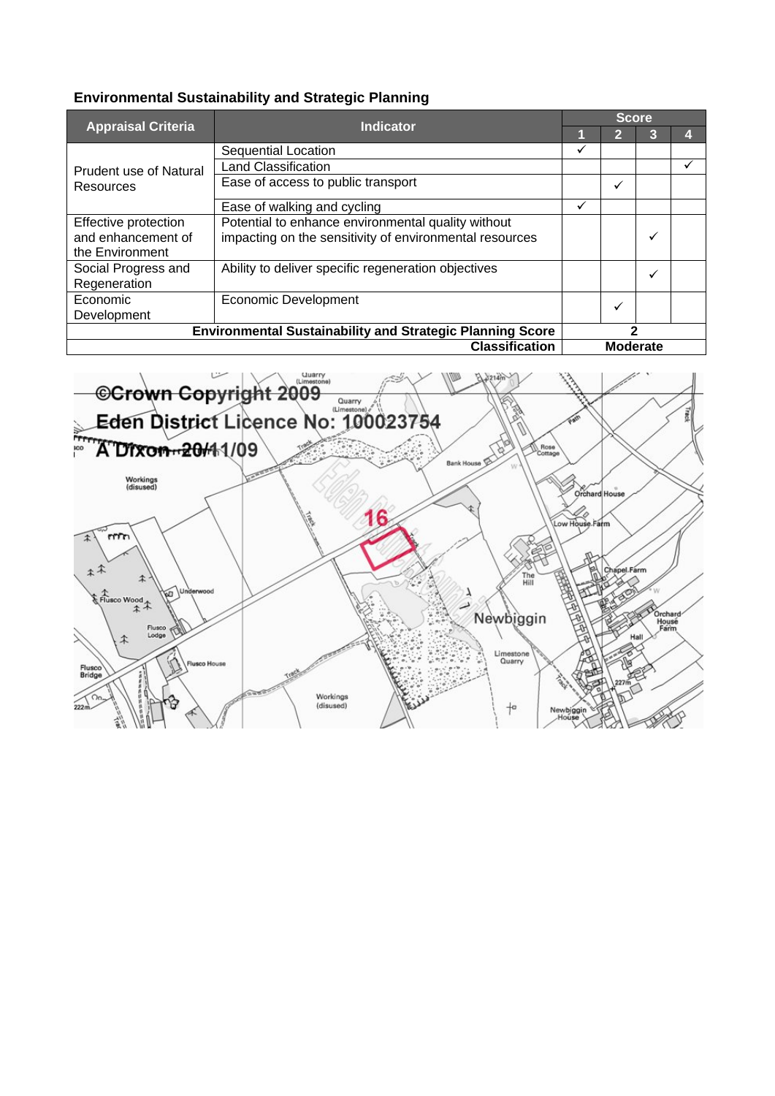|                                                                  | <b>Indicator</b>                                                                                              | <b>Score</b> |                 |   |   |  |  |
|------------------------------------------------------------------|---------------------------------------------------------------------------------------------------------------|--------------|-----------------|---|---|--|--|
| <b>Appraisal Criteria</b>                                        |                                                                                                               |              | 12              | З |   |  |  |
|                                                                  | <b>Sequential Location</b>                                                                                    | ✓            |                 |   |   |  |  |
| <b>Prudent use of Natural</b>                                    | <b>Land Classification</b>                                                                                    |              |                 |   | v |  |  |
| Resources                                                        | Ease of access to public transport                                                                            |              | ✓               |   |   |  |  |
|                                                                  | Ease of walking and cycling                                                                                   | ✓            |                 |   |   |  |  |
| Effective protection<br>and enhancement of<br>the Environment    | Potential to enhance environmental quality without<br>impacting on the sensitivity of environmental resources |              |                 | ✓ |   |  |  |
| Social Progress and<br>Regeneration                              | Ability to deliver specific regeneration objectives                                                           |              |                 | ✓ |   |  |  |
| Economic<br>Development                                          | <b>Economic Development</b>                                                                                   |              | $\checkmark$    |   |   |  |  |
| <b>Environmental Sustainability and Strategic Planning Score</b> |                                                                                                               | 2            |                 |   |   |  |  |
| <b>Classification</b>                                            |                                                                                                               |              | <b>Moderate</b> |   |   |  |  |

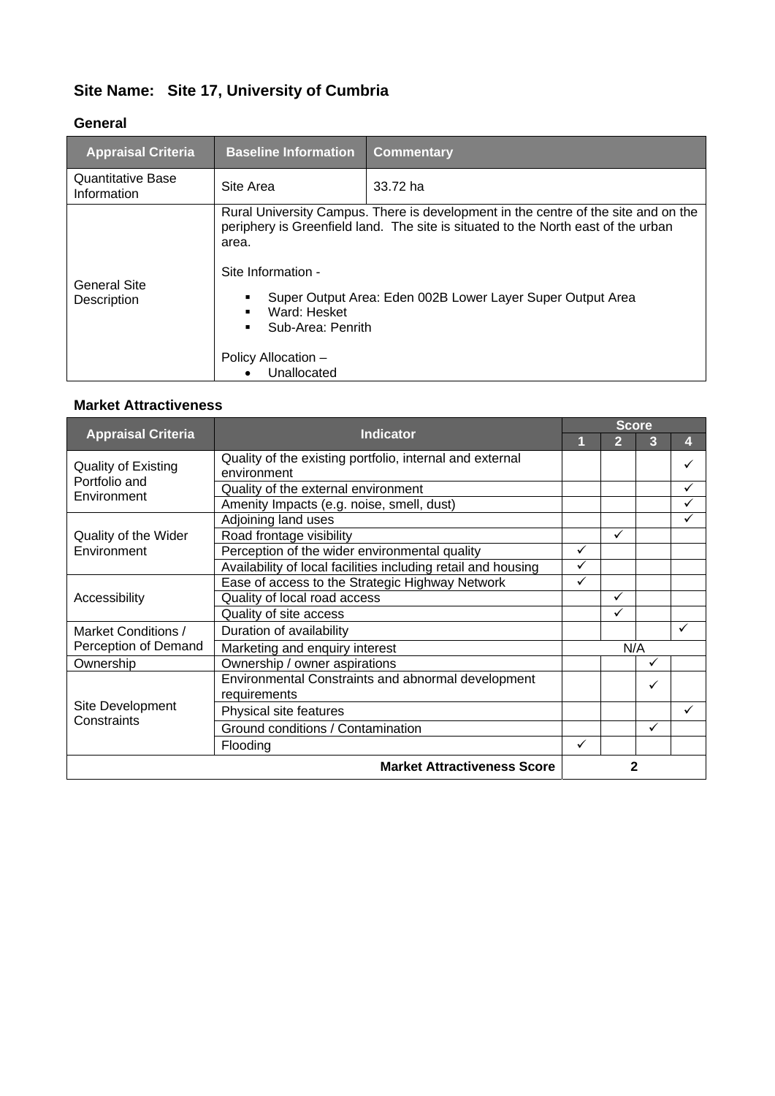### **Site Name: Site 17, University of Cumbria**

#### **General**

| <b>Appraisal Criteria</b>               | <b>Baseline Information</b>                                                                            | <b>Commentary</b>                                                                                                                                                                                                                     |
|-----------------------------------------|--------------------------------------------------------------------------------------------------------|---------------------------------------------------------------------------------------------------------------------------------------------------------------------------------------------------------------------------------------|
| <b>Quantitative Base</b><br>Information | Site Area                                                                                              | 33.72 ha                                                                                                                                                                                                                              |
| <b>General Site</b><br>Description      | area.<br>Site Information -<br>Ward: Hesket<br>Sub-Area: Penrith<br>Policy Allocation -<br>Unallocated | Rural University Campus. There is development in the centre of the site and on the<br>periphery is Greenfield land. The site is situated to the North east of the urban<br>Super Output Area: Eden 002B Lower Layer Super Output Area |

|                                 | <b>Indicator</b>                                                        | <b>Score</b> |                |   |   |  |  |
|---------------------------------|-------------------------------------------------------------------------|--------------|----------------|---|---|--|--|
| <b>Appraisal Criteria</b>       |                                                                         |              | $\overline{2}$ | 3 | 4 |  |  |
| Quality of Existing             | Quality of the existing portfolio, internal and external<br>environment |              |                |   | ✓ |  |  |
| Portfolio and                   |                                                                         |              |                |   |   |  |  |
| Environment                     | Quality of the external environment                                     |              |                |   | ✓ |  |  |
|                                 | Amenity Impacts (e.g. noise, smell, dust)                               |              |                |   | ✓ |  |  |
|                                 | Adjoining land uses                                                     |              |                |   |   |  |  |
| Quality of the Wider            | Road frontage visibility                                                |              | ✓              |   |   |  |  |
| Environment                     | Perception of the wider environmental quality                           | ✓            |                |   |   |  |  |
|                                 | Availability of local facilities including retail and housing           | $\checkmark$ |                |   |   |  |  |
|                                 | Ease of access to the Strategic Highway Network                         | $\checkmark$ |                |   |   |  |  |
| Accessibility                   | Quality of local road access                                            |              | ✓              |   |   |  |  |
|                                 | Quality of site access                                                  |              | ✓              |   |   |  |  |
| Market Conditions /             | Duration of availability                                                |              |                |   | ✓ |  |  |
| Perception of Demand            | Marketing and enquiry interest                                          |              | N/A            |   |   |  |  |
| Ownership                       | Ownership / owner aspirations                                           |              |                | ✓ |   |  |  |
|                                 | Environmental Constraints and abnormal development                      |              |                | ✓ |   |  |  |
|                                 | requirements                                                            |              |                |   |   |  |  |
| Site Development<br>Constraints | Physical site features                                                  |              |                |   | ✓ |  |  |
|                                 | Ground conditions / Contamination                                       |              |                | ✓ |   |  |  |
|                                 | Flooding                                                                | ✓            |                |   |   |  |  |
|                                 | <b>Market Attractiveness Score</b>                                      | $\mathbf{2}$ |                |   |   |  |  |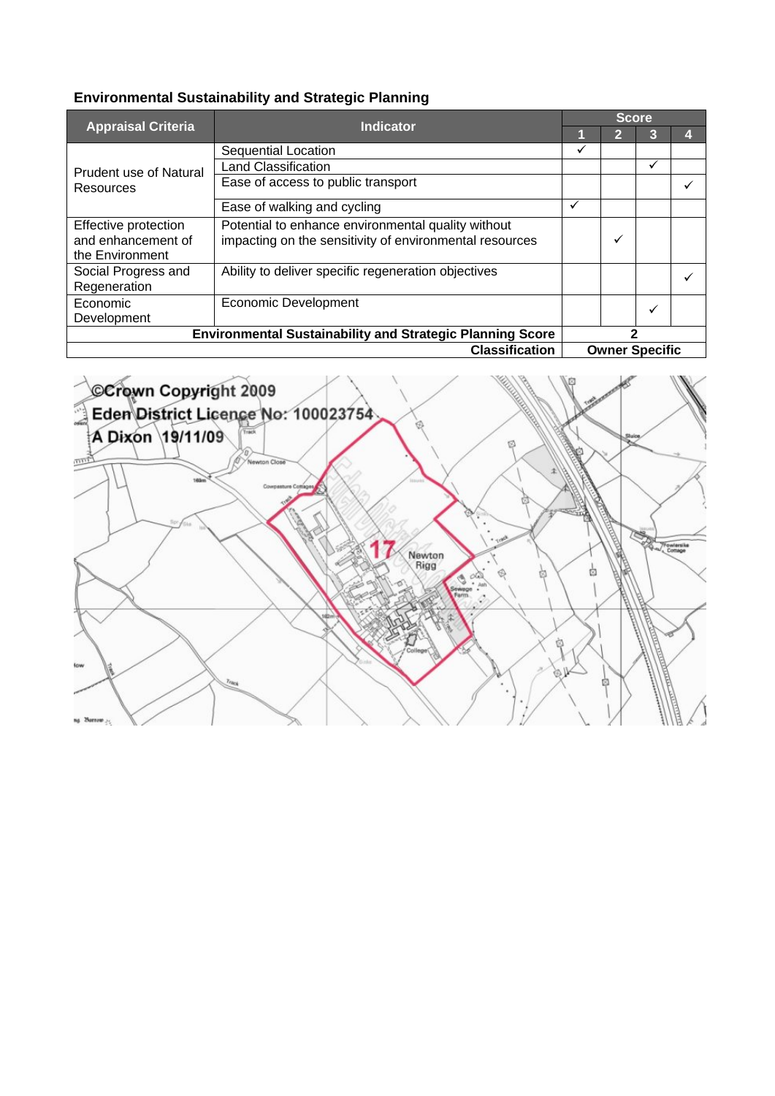|                                                                  | <b>Indicator</b>                                        | <b>Score</b> |                       |   |  |  |  |
|------------------------------------------------------------------|---------------------------------------------------------|--------------|-----------------------|---|--|--|--|
| <b>Appraisal Criteria</b>                                        |                                                         |              | 2                     | З |  |  |  |
|                                                                  | Sequential Location                                     | ✓            |                       |   |  |  |  |
| Prudent use of Natural                                           | <b>Land Classification</b>                              |              |                       | ✓ |  |  |  |
| Resources                                                        | Ease of access to public transport                      |              |                       |   |  |  |  |
|                                                                  | Ease of walking and cycling                             | ✓            |                       |   |  |  |  |
| Effective protection                                             | Potential to enhance environmental quality without      |              |                       |   |  |  |  |
| and enhancement of                                               | impacting on the sensitivity of environmental resources |              | $\checkmark$          |   |  |  |  |
| the Environment                                                  |                                                         |              |                       |   |  |  |  |
| Social Progress and                                              | Ability to deliver specific regeneration objectives     |              |                       |   |  |  |  |
| Regeneration                                                     |                                                         |              |                       |   |  |  |  |
| Economic                                                         | <b>Economic Development</b>                             |              |                       | ✓ |  |  |  |
| Development                                                      |                                                         |              |                       |   |  |  |  |
| <b>Environmental Sustainability and Strategic Planning Score</b> |                                                         | 2            |                       |   |  |  |  |
| <b>Classification</b>                                            |                                                         |              | <b>Owner Specific</b> |   |  |  |  |

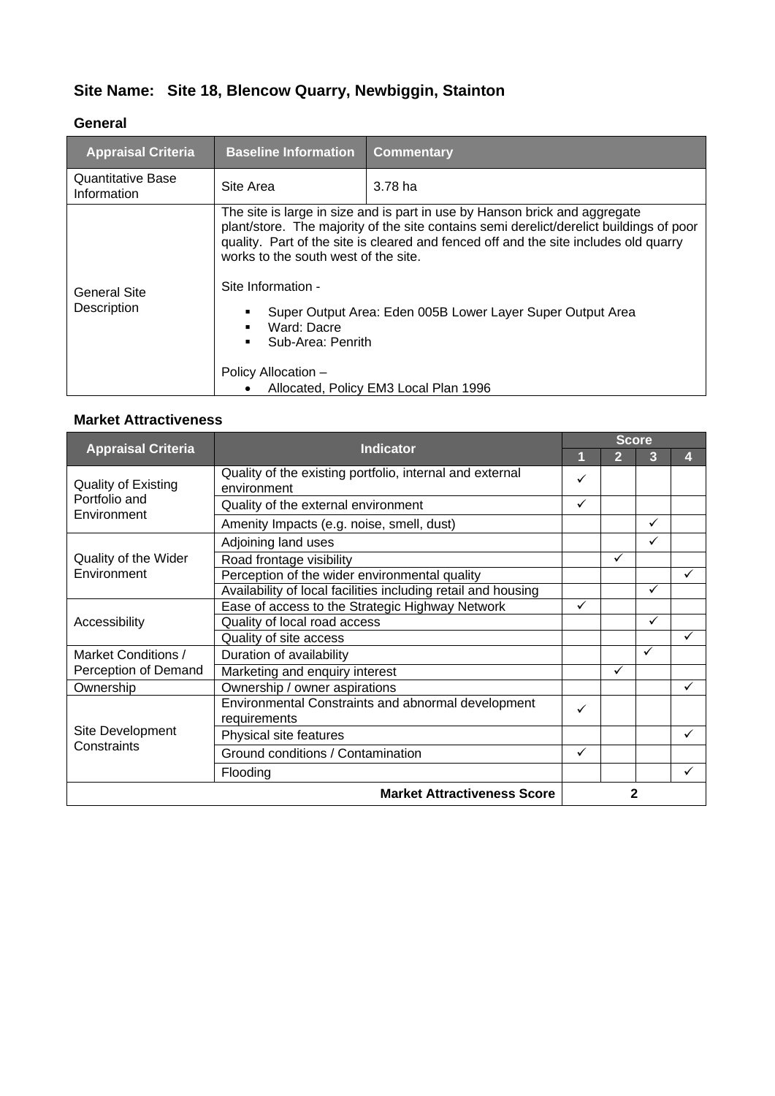### **Site Name: Site 18, Blencow Quarry, Newbiggin, Stainton**

#### **General**

| <b>Appraisal Criteria</b>               | <b>Baseline Information</b>                                                                                           | <b>Commentary</b>                                                                                                                                                                                                                                                                                                           |
|-----------------------------------------|-----------------------------------------------------------------------------------------------------------------------|-----------------------------------------------------------------------------------------------------------------------------------------------------------------------------------------------------------------------------------------------------------------------------------------------------------------------------|
| <b>Quantitative Base</b><br>Information | Site Area                                                                                                             | 3.78 <sub>ha</sub>                                                                                                                                                                                                                                                                                                          |
| General Site<br>Description             | works to the south west of the site.<br>Site Information -<br>Ward: Dacre<br>Sub-Area: Penrith<br>Policy Allocation - | The site is large in size and is part in use by Hanson brick and aggregate<br>plant/store. The majority of the site contains semi derelict/derelict buildings of poor<br>quality. Part of the site is cleared and fenced off and the site includes old quarry<br>Super Output Area: Eden 005B Lower Layer Super Output Area |
|                                         |                                                                                                                       | Allocated, Policy EM3 Local Plan 1996                                                                                                                                                                                                                                                                                       |

| <b>Appraisal Criteria</b>                                  | <b>Indicator</b>                                                        | <b>Score</b> |              |              |   |  |  |
|------------------------------------------------------------|-------------------------------------------------------------------------|--------------|--------------|--------------|---|--|--|
|                                                            |                                                                         | 1            | 2            | 3            | 4 |  |  |
| <b>Quality of Existing</b><br>Portfolio and<br>Environment | Quality of the existing portfolio, internal and external<br>environment | ✓            |              |              |   |  |  |
|                                                            | Quality of the external environment                                     | ✓            |              |              |   |  |  |
|                                                            | Amenity Impacts (e.g. noise, smell, dust)                               |              |              | $\checkmark$ |   |  |  |
|                                                            | Adjoining land uses                                                     |              |              | ✓            |   |  |  |
| Quality of the Wider                                       | Road frontage visibility                                                |              | ✓            |              |   |  |  |
| Environment                                                | Perception of the wider environmental quality                           |              |              |              | ✓ |  |  |
|                                                            | Availability of local facilities including retail and housing           |              |              | ✓            |   |  |  |
|                                                            | Ease of access to the Strategic Highway Network                         | ✓            |              |              |   |  |  |
| Accessibility                                              | Quality of local road access                                            |              |              | ✓            |   |  |  |
|                                                            | Quality of site access                                                  |              |              |              | ✓ |  |  |
| Market Conditions /                                        | Duration of availability                                                |              |              | $\checkmark$ |   |  |  |
| Perception of Demand                                       | Marketing and enquiry interest                                          |              | $\checkmark$ |              |   |  |  |
| Ownership                                                  | Ownership / owner aspirations                                           |              |              |              | ✓ |  |  |
|                                                            | Environmental Constraints and abnormal development<br>requirements      | ✓            |              |              |   |  |  |
| Site Development                                           | Physical site features                                                  |              |              |              | ✓ |  |  |
| Constraints                                                | Ground conditions / Contamination                                       | ✓            |              |              |   |  |  |
|                                                            | Flooding                                                                |              |              |              | ✓ |  |  |
|                                                            | <b>Market Attractiveness Score</b>                                      |              |              | 2            |   |  |  |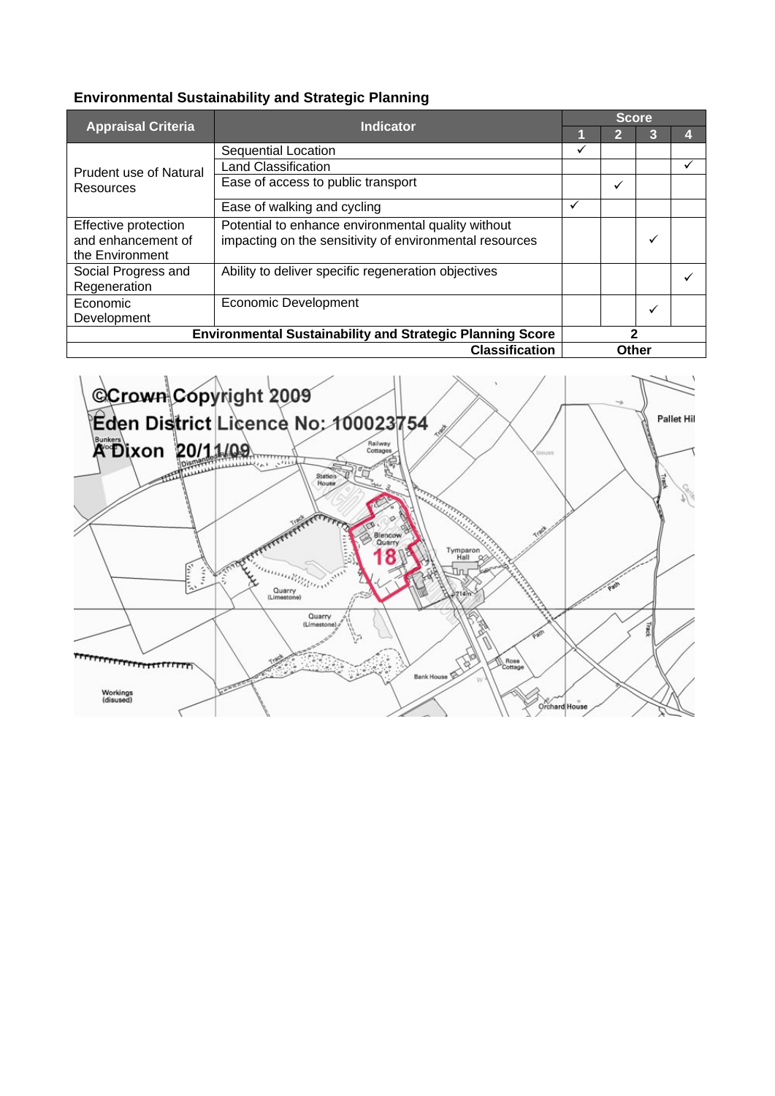|                                                                  |                                                         | <b>Score</b> |              |   |   |  |  |
|------------------------------------------------------------------|---------------------------------------------------------|--------------|--------------|---|---|--|--|
| <b>Appraisal Criteria</b>                                        | <b>Indicator</b>                                        |              | $\mathbf{2}$ | 3 |   |  |  |
|                                                                  | Sequential Location                                     | ✓            |              |   |   |  |  |
| <b>Prudent use of Natural</b>                                    | <b>Land Classification</b>                              |              |              |   | v |  |  |
| Resources                                                        | Ease of access to public transport                      |              | ✓            |   |   |  |  |
|                                                                  | Ease of walking and cycling                             | ✓            |              |   |   |  |  |
| Effective protection                                             | Potential to enhance environmental quality without      |              |              |   |   |  |  |
| and enhancement of                                               | impacting on the sensitivity of environmental resources |              |              | ✓ |   |  |  |
| the Environment                                                  |                                                         |              |              |   |   |  |  |
| Social Progress and                                              | Ability to deliver specific regeneration objectives     |              |              |   |   |  |  |
| Regeneration                                                     |                                                         |              |              |   |   |  |  |
| Economic                                                         | Economic Development                                    |              |              | ✓ |   |  |  |
| Development                                                      |                                                         |              |              |   |   |  |  |
| <b>Environmental Sustainability and Strategic Planning Score</b> |                                                         | 2            |              |   |   |  |  |
| <b>Classification</b>                                            |                                                         |              | Other        |   |   |  |  |

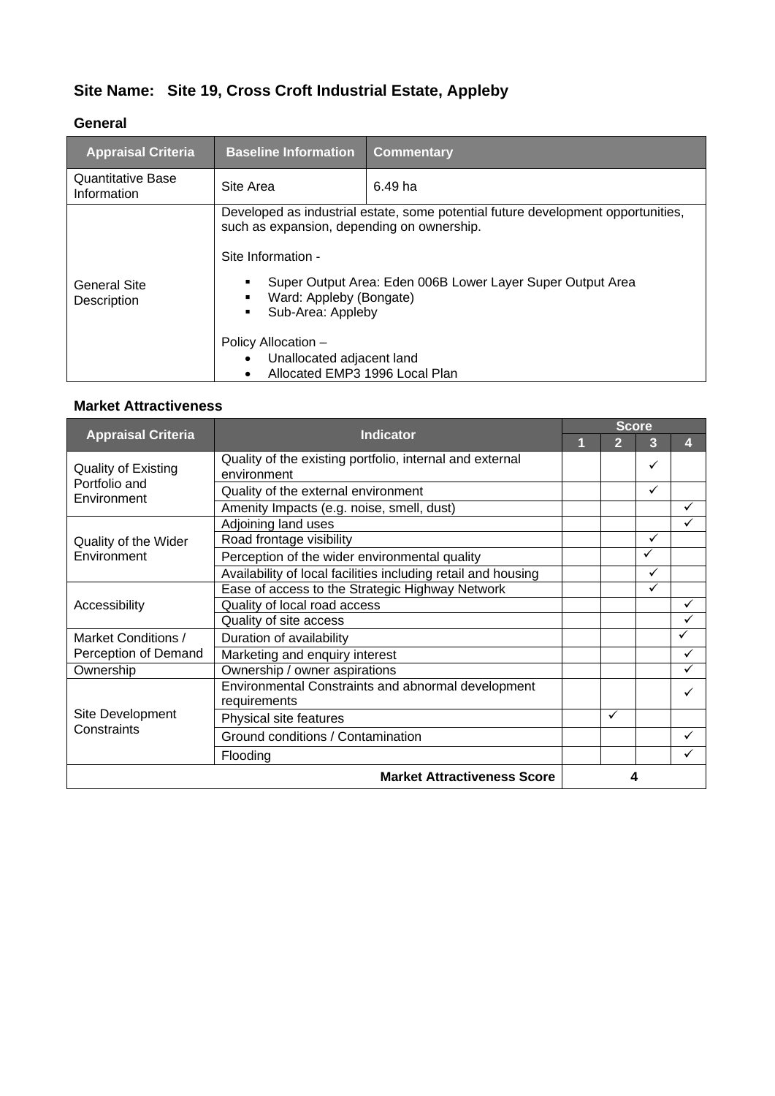### **Site Name: Site 19, Cross Croft Industrial Estate, Appleby**

#### **General**

| <b>Appraisal Criteria</b>        | <b>Baseline Information</b>                                                                                                                                                                                 | <b>Commentary</b>                                                                                                                              |
|----------------------------------|-------------------------------------------------------------------------------------------------------------------------------------------------------------------------------------------------------------|------------------------------------------------------------------------------------------------------------------------------------------------|
| Quantitative Base<br>Information | Site Area                                                                                                                                                                                                   | 6.49 ha                                                                                                                                        |
| General Site<br>Description      | such as expansion, depending on ownership.<br>Site Information -<br>Ward: Appleby (Bongate)<br>٠<br>Sub-Area: Appleby<br>Policy Allocation -<br>Unallocated adjacent land<br>Allocated EMP3 1996 Local Plan | Developed as industrial estate, some potential future development opportunities,<br>Super Output Area: Eden 006B Lower Layer Super Output Area |

| <b>Appraisal Criteria</b>                           | <b>Indicator</b>                                                        |  | <b>Score</b> |              |   |  |  |
|-----------------------------------------------------|-------------------------------------------------------------------------|--|--------------|--------------|---|--|--|
|                                                     |                                                                         |  | 2            | 3            | Д |  |  |
| Quality of Existing<br>Portfolio and<br>Environment | Quality of the existing portfolio, internal and external<br>environment |  |              | ✓            |   |  |  |
|                                                     | Quality of the external environment                                     |  |              | $\checkmark$ |   |  |  |
|                                                     | Amenity Impacts (e.g. noise, smell, dust)                               |  |              |              | ✓ |  |  |
|                                                     | Adjoining land uses                                                     |  |              |              | ✓ |  |  |
| Quality of the Wider                                | Road frontage visibility                                                |  |              | ✓            |   |  |  |
| Environment                                         | Perception of the wider environmental quality                           |  |              | $\checkmark$ |   |  |  |
|                                                     | Availability of local facilities including retail and housing           |  |              | ✓            |   |  |  |
|                                                     | Ease of access to the Strategic Highway Network                         |  |              | ✓            |   |  |  |
| Accessibility                                       | Quality of local road access                                            |  |              |              | ✓ |  |  |
|                                                     | Quality of site access                                                  |  |              |              |   |  |  |
| Market Conditions /                                 | Duration of availability                                                |  |              |              | ✓ |  |  |
| Perception of Demand                                | Marketing and enquiry interest                                          |  |              |              | ✓ |  |  |
| Ownership                                           | Ownership / owner aspirations                                           |  |              |              | ✓ |  |  |
| Site Development<br>Constraints                     | Environmental Constraints and abnormal development                      |  |              |              |   |  |  |
|                                                     | requirements                                                            |  |              |              |   |  |  |
|                                                     | Physical site features                                                  |  | $\checkmark$ |              |   |  |  |
|                                                     | Ground conditions / Contamination                                       |  |              |              | ✓ |  |  |
|                                                     | Flooding                                                                |  |              |              |   |  |  |
| <b>Market Attractiveness Score</b>                  |                                                                         |  |              |              |   |  |  |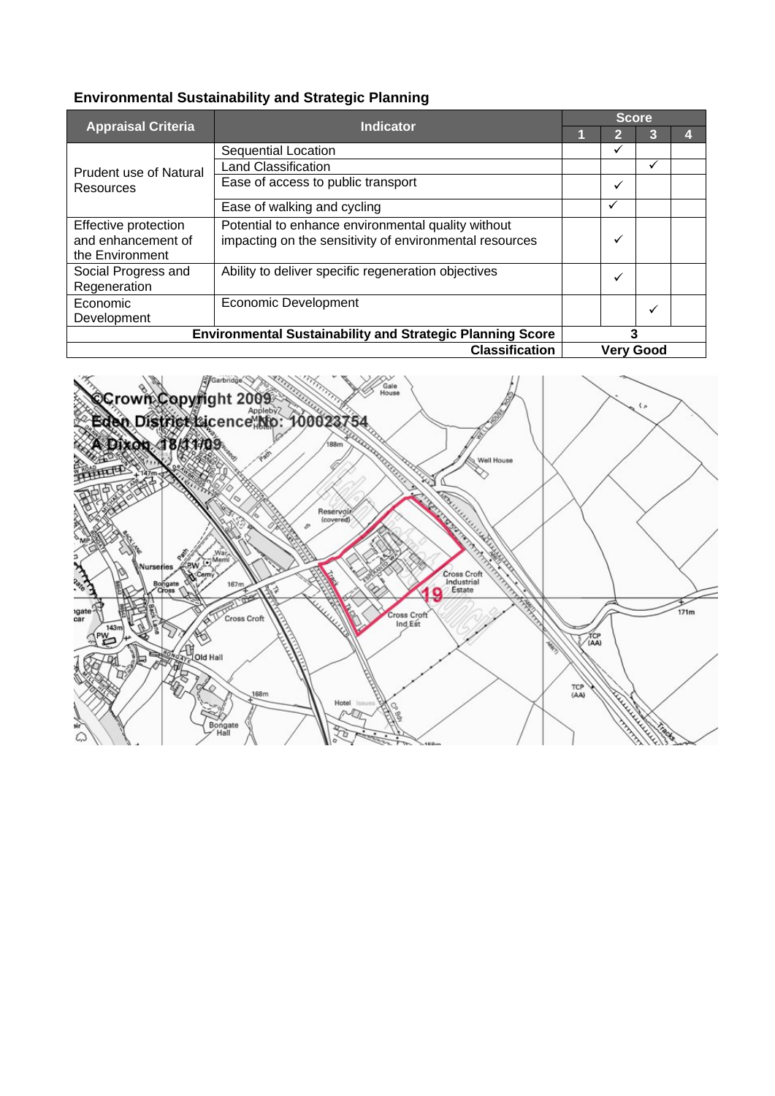| <b>Appraisal Criteria</b>                                        | <b>Indicator</b>                                        | <b>Score</b> |                  |   |  |
|------------------------------------------------------------------|---------------------------------------------------------|--------------|------------------|---|--|
|                                                                  |                                                         |              | 2                | 3 |  |
| Prudent use of Natural<br>Resources                              | Sequential Location                                     |              | ✓                |   |  |
|                                                                  | <b>Land Classification</b>                              |              |                  | ✓ |  |
|                                                                  | Ease of access to public transport                      |              | ✓                |   |  |
|                                                                  | Ease of walking and cycling                             |              | $\checkmark$     |   |  |
| Effective protection                                             | Potential to enhance environmental quality without      |              |                  |   |  |
| and enhancement of                                               | impacting on the sensitivity of environmental resources |              | $\checkmark$     |   |  |
| the Environment                                                  |                                                         |              |                  |   |  |
| Social Progress and                                              | Ability to deliver specific regeneration objectives     |              | $\checkmark$     |   |  |
| Regeneration                                                     |                                                         |              |                  |   |  |
| Economic                                                         | <b>Economic Development</b>                             |              |                  | ✓ |  |
| Development                                                      |                                                         |              |                  |   |  |
| <b>Environmental Sustainability and Strategic Planning Score</b> |                                                         | 3            |                  |   |  |
| <b>Classification</b>                                            |                                                         |              | <b>Very Good</b> |   |  |

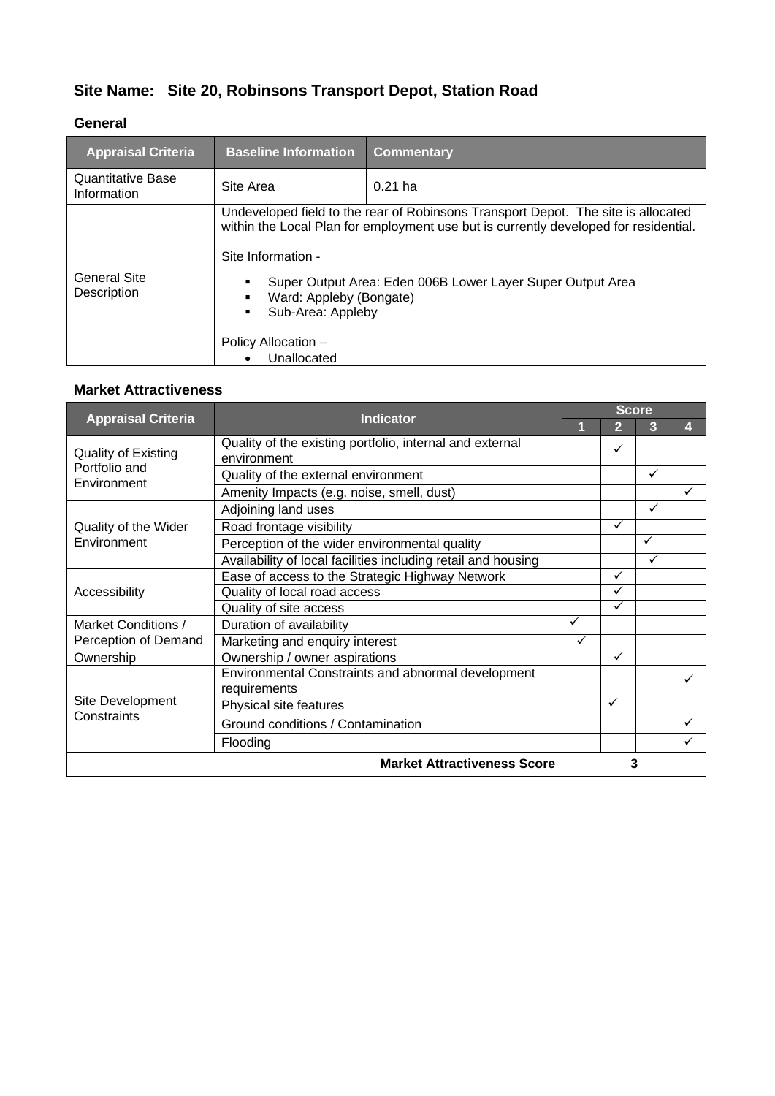# **Site Name: Site 20, Robinsons Transport Depot, Station Road**

#### **General**

| <b>Appraisal Criteria</b>        | <b>Baseline Information</b>                                                                              | <b>Commentary</b>                                                                                                                                                                                                                       |
|----------------------------------|----------------------------------------------------------------------------------------------------------|-----------------------------------------------------------------------------------------------------------------------------------------------------------------------------------------------------------------------------------------|
| Quantitative Base<br>Information | Site Area                                                                                                | $0.21$ ha                                                                                                                                                                                                                               |
| General Site<br>Description      | Site Information -<br>Ward: Appleby (Bongate)<br>Sub-Area: Appleby<br>Policy Allocation -<br>Unallocated | Undeveloped field to the rear of Robinsons Transport Depot. The site is allocated<br>within the Local Plan for employment use but is currently developed for residential.<br>Super Output Area: Eden 006B Lower Layer Super Output Area |

| <b>Appraisal Criteria</b>                                  | <b>Indicator</b>                                                        | <b>Score</b> |                |   |   |  |
|------------------------------------------------------------|-------------------------------------------------------------------------|--------------|----------------|---|---|--|
|                                                            |                                                                         |              | $\overline{2}$ | 3 |   |  |
| <b>Quality of Existing</b><br>Portfolio and<br>Environment | Quality of the existing portfolio, internal and external<br>environment |              | $\checkmark$   |   |   |  |
|                                                            | Quality of the external environment                                     |              |                | ✓ |   |  |
|                                                            | Amenity Impacts (e.g. noise, smell, dust)                               |              |                |   | ✓ |  |
|                                                            | Adjoining land uses                                                     |              |                | ✓ |   |  |
| Quality of the Wider                                       | Road frontage visibility                                                |              | $\checkmark$   |   |   |  |
| Environment                                                | Perception of the wider environmental quality                           |              |                | ✓ |   |  |
|                                                            | Availability of local facilities including retail and housing           |              |                | ✓ |   |  |
|                                                            | Ease of access to the Strategic Highway Network                         |              | $\checkmark$   |   |   |  |
| Accessibility                                              | Quality of local road access                                            |              | $\checkmark$   |   |   |  |
|                                                            | Quality of site access                                                  |              | $\checkmark$   |   |   |  |
| Market Conditions /                                        | Duration of availability                                                | ✓            |                |   |   |  |
| Perception of Demand                                       | Marketing and enquiry interest                                          | ✓            |                |   |   |  |
| Ownership                                                  | Ownership / owner aspirations                                           |              | $\checkmark$   |   |   |  |
|                                                            | Environmental Constraints and abnormal development                      |              |                |   |   |  |
| Site Development                                           | requirements                                                            |              | ✓              |   |   |  |
| Constraints                                                | Physical site features                                                  |              |                |   |   |  |
|                                                            | Ground conditions / Contamination                                       |              |                |   |   |  |
|                                                            | Flooding                                                                |              |                |   |   |  |
| <b>Market Attractiveness Score</b>                         |                                                                         |              |                | 3 |   |  |